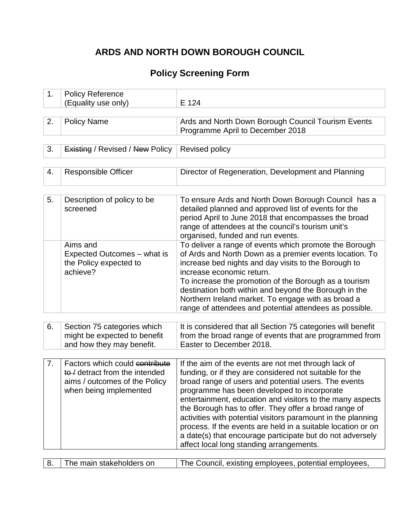# **ARDS AND NORTH DOWN BOROUGH COUNCIL**

# **Policy Screening Form**

| 1. | <b>Policy Reference</b><br>(Equality use only)                                                                              | E 124                                                                                                                                                                                                                                                                                                                                                                                                                                                                                                                                                                                 |
|----|-----------------------------------------------------------------------------------------------------------------------------|---------------------------------------------------------------------------------------------------------------------------------------------------------------------------------------------------------------------------------------------------------------------------------------------------------------------------------------------------------------------------------------------------------------------------------------------------------------------------------------------------------------------------------------------------------------------------------------|
|    |                                                                                                                             |                                                                                                                                                                                                                                                                                                                                                                                                                                                                                                                                                                                       |
| 2. | <b>Policy Name</b>                                                                                                          | Ards and North Down Borough Council Tourism Events<br>Programme April to December 2018                                                                                                                                                                                                                                                                                                                                                                                                                                                                                                |
|    |                                                                                                                             |                                                                                                                                                                                                                                                                                                                                                                                                                                                                                                                                                                                       |
| 3. | <b>Existing / Revised / New Policy</b>                                                                                      | Revised policy                                                                                                                                                                                                                                                                                                                                                                                                                                                                                                                                                                        |
|    |                                                                                                                             |                                                                                                                                                                                                                                                                                                                                                                                                                                                                                                                                                                                       |
| 4. | <b>Responsible Officer</b>                                                                                                  | Director of Regeneration, Development and Planning                                                                                                                                                                                                                                                                                                                                                                                                                                                                                                                                    |
|    |                                                                                                                             |                                                                                                                                                                                                                                                                                                                                                                                                                                                                                                                                                                                       |
| 5. | Description of policy to be<br>screened                                                                                     | To ensure Ards and North Down Borough Council has a<br>detailed planned and approved list of events for the<br>period April to June 2018 that encompasses the broad<br>range of attendees at the council's tourism unit's<br>organised, funded and run events.                                                                                                                                                                                                                                                                                                                        |
|    | Aims and<br>Expected Outcomes – what is<br>the Policy expected to<br>achieve?                                               | To deliver a range of events which promote the Borough<br>of Ards and North Down as a premier events location. To<br>increase bed nights and day visits to the Borough to<br>increase economic return.<br>To increase the promotion of the Borough as a tourism<br>destination both within and beyond the Borough in the<br>Northern Ireland market. To engage with as broad a<br>range of attendees and potential attendees as possible.                                                                                                                                             |
|    |                                                                                                                             |                                                                                                                                                                                                                                                                                                                                                                                                                                                                                                                                                                                       |
| 6. | Section 75 categories which<br>might be expected to benefit<br>and how they may benefit.                                    | It is considered that all Section 75 categories will benefit<br>from the broad range of events that are programmed from<br>Easter to December 2018.                                                                                                                                                                                                                                                                                                                                                                                                                                   |
|    |                                                                                                                             |                                                                                                                                                                                                                                                                                                                                                                                                                                                                                                                                                                                       |
| 7. | Factors which could contribute<br>to / detract from the intended<br>aims / outcomes of the Policy<br>when being implemented | If the aim of the events are not met through lack of<br>funding, or if they are considered not suitable for the<br>broad range of users and potential users. The events<br>programme has been developed to incorporate<br>entertainment, education and visitors to the many aspects<br>the Borough has to offer. They offer a broad range of<br>activities with potential visitors paramount in the planning<br>process. If the events are held in a suitable location or on<br>a date(s) that encourage participate but do not adversely<br>affect local long standing arrangements. |

| 8. The main stakeholders on<br>The Council, existing employees, potential employees, |
|--------------------------------------------------------------------------------------|
|--------------------------------------------------------------------------------------|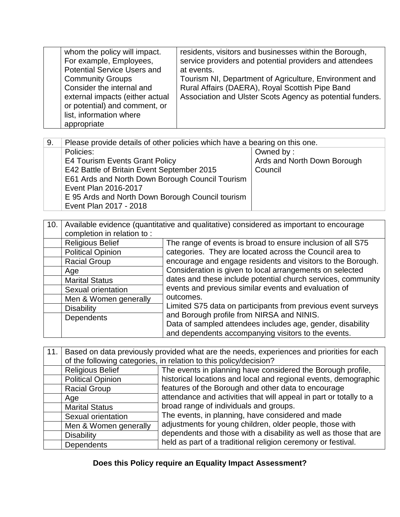| whom the policy will impact.       | residents, visitors and businesses within the Borough,    |
|------------------------------------|-----------------------------------------------------------|
| For example, Employees,            | service providers and potential providers and attendees   |
| <b>Potential Service Users and</b> | at events.                                                |
| <b>Community Groups</b>            | Tourism NI, Department of Agriculture, Environment and    |
| Consider the internal and          | Rural Affairs (DAERA), Royal Scottish Pipe Band           |
| external impacts (either actual    | Association and Ulster Scots Agency as potential funders. |
| or potential) and comment, or      |                                                           |
| list, information where            |                                                           |
| appropriate                        |                                                           |

| 9. | Please provide details of other policies which have a bearing on this one. |                             |
|----|----------------------------------------------------------------------------|-----------------------------|
|    | Policies:                                                                  | Owned by:                   |
|    | <b>E4 Tourism Events Grant Policy</b>                                      | Ards and North Down Borough |
|    | E42 Battle of Britain Event September 2015                                 | Council                     |
|    | E61 Ards and North Down Borough Council Tourism                            |                             |
|    | Event Plan 2016-2017                                                       |                             |
|    | E 95 Ards and North Down Borough Council tourism                           |                             |
|    | Event Plan 2017 - 2018                                                     |                             |

| 10.1 | completion in relation to: | Available evidence (quantitative and qualitative) considered as important to encourage |  |
|------|----------------------------|----------------------------------------------------------------------------------------|--|
|      | <b>Religious Belief</b>    | The range of events is broad to ensure inclusion of all S75                            |  |
|      | <b>Political Opinion</b>   | categories. They are located across the Council area to                                |  |
|      | <b>Racial Group</b>        | encourage and engage residents and visitors to the Borough.                            |  |
|      | Age                        | Consideration is given to local arrangements on selected                               |  |
|      | <b>Marital Status</b>      | dates and these include potential church services, community                           |  |
|      | Sexual orientation         | events and previous similar events and evaluation of                                   |  |
|      | Men & Women generally      | outcomes.                                                                              |  |
|      | <b>Disability</b>          | Limited S75 data on participants from previous event surveys                           |  |
|      | <b>Dependents</b>          | and Borough profile from NIRSA and NINIS.                                              |  |
|      |                            | Data of sampled attendees includes age, gender, disability                             |  |
|      |                            | and dependents accompanying visitors to the events.                                    |  |

| 11.1 |                          | Based on data previously provided what are the needs, experiences and priorities for each<br>of the following categories, in relation to this policy/decision?                                                                                                                       |  |
|------|--------------------------|--------------------------------------------------------------------------------------------------------------------------------------------------------------------------------------------------------------------------------------------------------------------------------------|--|
|      | <b>Religious Belief</b>  | The events in planning have considered the Borough profile,                                                                                                                                                                                                                          |  |
|      | <b>Political Opinion</b> | historical locations and local and regional events, demographic                                                                                                                                                                                                                      |  |
|      | <b>Racial Group</b>      | features of the Borough and other data to encourage<br>attendance and activities that will appeal in part or totally to a<br>broad range of individuals and groups.<br>The events, in planning, have considered and made<br>adjustments for young children, older people, those with |  |
|      | Age                      |                                                                                                                                                                                                                                                                                      |  |
|      | <b>Marital Status</b>    |                                                                                                                                                                                                                                                                                      |  |
|      | Sexual orientation       |                                                                                                                                                                                                                                                                                      |  |
|      | Men & Women generally    |                                                                                                                                                                                                                                                                                      |  |
|      | <b>Disability</b>        | dependents and those with a disability as well as those that are                                                                                                                                                                                                                     |  |
|      | <b>Dependents</b>        | held as part of a traditional religion ceremony or festival.                                                                                                                                                                                                                         |  |

**Does this Policy require an Equality Impact Assessment?**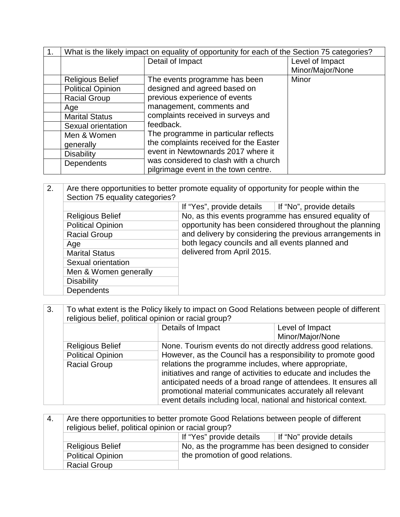| What is the likely impact on equality of opportunity for each of the Section 75 categories? |                                        |                  |
|---------------------------------------------------------------------------------------------|----------------------------------------|------------------|
|                                                                                             | Detail of Impact                       | Level of Impact  |
|                                                                                             |                                        | Minor/Major/None |
| <b>Religious Belief</b>                                                                     | The events programme has been          | Minor            |
| <b>Political Opinion</b>                                                                    | designed and agreed based on           |                  |
| <b>Racial Group</b>                                                                         | previous experience of events          |                  |
| Age                                                                                         | management, comments and               |                  |
| <b>Marital Status</b>                                                                       | complaints received in surveys and     |                  |
| Sexual orientation                                                                          | feedback.                              |                  |
| Men & Women                                                                                 | The programme in particular reflects   |                  |
| generally                                                                                   | the complaints received for the Easter |                  |
| <b>Disability</b>                                                                           | event in Newtownards 2017 where it     |                  |
| Dependents                                                                                  | was considered to clash with a church  |                  |
|                                                                                             | pilgrimage event in the town centre.   |                  |

2. Are there opportunities to better promote equality of opportunity for people within the Section 75 equality categories? If "Yes", provide details | If "No", provide details Religious Belief No, as this events programme has ensured equality of opportunity has been considered throughout the planning and delivery by considering the previous arrangements in both legacy councils and all events planned and delivered from April 2015. Political Opinion Racial Group Age Marital Status Sexual orientation Men & Women generally **Disability Dependents** 

3. To what extent is the Policy likely to impact on Good Relations between people of different religious belief, political opinion or racial group?

| Details of Impact<br>Level of Impact<br>Minor/Major/None<br>None. Tourism events do not directly address good relations.<br><b>Religious Belief</b><br>However, as the Council has a responsibility to promote good<br><b>Political Opinion</b><br>relations the programme includes, where appropriate,<br><b>Racial Group</b><br>initiatives and range of activities to educate and includes the<br>anticipated needs of a broad range of attendees. It ensures all<br>promotional material communicates accurately all relevant |  |  |
|-----------------------------------------------------------------------------------------------------------------------------------------------------------------------------------------------------------------------------------------------------------------------------------------------------------------------------------------------------------------------------------------------------------------------------------------------------------------------------------------------------------------------------------|--|--|
|                                                                                                                                                                                                                                                                                                                                                                                                                                                                                                                                   |  |  |
|                                                                                                                                                                                                                                                                                                                                                                                                                                                                                                                                   |  |  |
|                                                                                                                                                                                                                                                                                                                                                                                                                                                                                                                                   |  |  |
|                                                                                                                                                                                                                                                                                                                                                                                                                                                                                                                                   |  |  |
|                                                                                                                                                                                                                                                                                                                                                                                                                                                                                                                                   |  |  |
|                                                                                                                                                                                                                                                                                                                                                                                                                                                                                                                                   |  |  |
|                                                                                                                                                                                                                                                                                                                                                                                                                                                                                                                                   |  |  |
|                                                                                                                                                                                                                                                                                                                                                                                                                                                                                                                                   |  |  |
| event details including local, national and historical context.                                                                                                                                                                                                                                                                                                                                                                                                                                                                   |  |  |

| -4. | Are there opportunities to better promote Good Relations between people of different<br>religious belief, political opinion or racial group? |                                  |                                                    |
|-----|----------------------------------------------------------------------------------------------------------------------------------------------|----------------------------------|----------------------------------------------------|
|     |                                                                                                                                              | If "Yes" provide details         | If "No" provide details                            |
|     | <b>Religious Belief</b>                                                                                                                      |                                  | No, as the programme has been designed to consider |
|     | <b>Political Opinion</b>                                                                                                                     | the promotion of good relations. |                                                    |
|     | <b>Racial Group</b>                                                                                                                          |                                  |                                                    |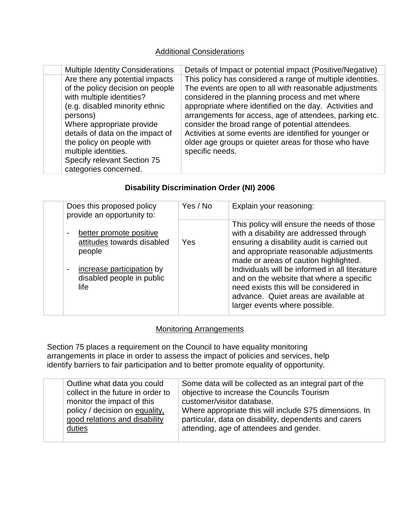### Additional Considerations

| <b>Multiple Identity Considerations</b>                                                                                                                                                                                                                                                                                      | Details of Impact or potential impact (Positive/Negative)                                                                                                                                                                                                                                                                                                                                                                                                                                |
|------------------------------------------------------------------------------------------------------------------------------------------------------------------------------------------------------------------------------------------------------------------------------------------------------------------------------|------------------------------------------------------------------------------------------------------------------------------------------------------------------------------------------------------------------------------------------------------------------------------------------------------------------------------------------------------------------------------------------------------------------------------------------------------------------------------------------|
| Are there any potential impacts<br>of the policy decision on people<br>with multiple identities?<br>(e.g. disabled minority ethnic<br>persons)<br>Where appropriate provide<br>details of data on the impact of<br>the policy on people with<br>multiple identities.<br>Specify relevant Section 75<br>categories concerned. | This policy has considered a range of multiple identities.<br>The events are open to all with reasonable adjustments<br>considered in the planning process and met where<br>appropriate where identified on the day. Activities and<br>arrangements for access, age of attendees, parking etc.<br>consider the broad range of potential attendees.<br>Activities at some events are identified for younger or<br>older age groups or quieter areas for those who have<br>specific needs. |

#### **Disability Discrimination Order (NI) 2006**

| Does this proposed policy<br>provide an opportunity to:                                                                                                               | Yes / No | Explain your reasoning:                                                                                                                                                                                                                                                                                                                                                                                                                  |
|-----------------------------------------------------------------------------------------------------------------------------------------------------------------------|----------|------------------------------------------------------------------------------------------------------------------------------------------------------------------------------------------------------------------------------------------------------------------------------------------------------------------------------------------------------------------------------------------------------------------------------------------|
| better promote positive<br>$\blacksquare$<br>attitudes towards disabled<br>people<br>increase participation by<br>$\blacksquare$<br>disabled people in public<br>life | Yes      | This policy will ensure the needs of those<br>with a disability are addressed through<br>ensuring a disability audit is carried out<br>and appropriate reasonable adjustments<br>made or areas of caution highlighted.<br>Individuals will be informed in all literature<br>and on the website that where a specific<br>need exists this will be considered in<br>advance. Quiet areas are available at<br>larger events where possible. |

## Monitoring Arrangements

Section 75 places a requirement on the Council to have equality monitoring arrangements in place in order to assess the impact of policies and services, help identify barriers to fair participation and to better promote equality of opportunity.

|  | Outline what data you could       | Some data will be collected as an integral part of the |
|--|-----------------------------------|--------------------------------------------------------|
|  | collect in the future in order to | objective to increase the Councils Tourism             |
|  | monitor the impact of this        | customer/visitor database.                             |
|  | policy / decision on equality,    | Where appropriate this will include S75 dimensions. In |
|  | good relations and disability     | particular, data on disability, dependents and carers  |
|  | duties                            | attending, age of attendees and gender.                |
|  |                                   |                                                        |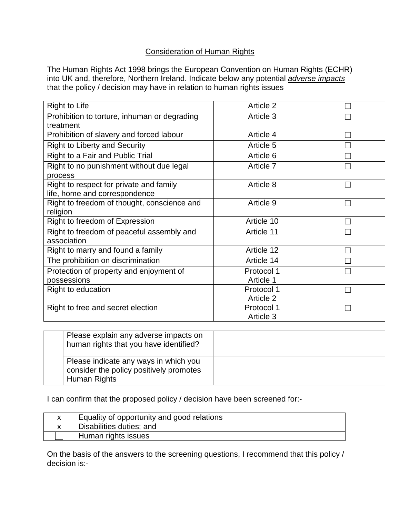#### Consideration of Human Rights

The Human Rights Act 1998 brings the European Convention on Human Rights (ECHR) into UK and, therefore, Northern Ireland. Indicate below any potential *adverse impacts* that the policy / decision may have in relation to human rights issues

| Article 2  |                |
|------------|----------------|
| Article 3  |                |
|            |                |
| Article 4  |                |
| Article 5  |                |
| Article 6  |                |
| Article 7  |                |
|            |                |
| Article 8  |                |
|            |                |
| Article 9  |                |
|            |                |
| Article 10 |                |
| Article 11 |                |
|            |                |
| Article 12 |                |
| Article 14 |                |
| Protocol 1 |                |
| Article 1  |                |
| Protocol 1 | <b>College</b> |
| Article 2  |                |
| Protocol 1 |                |
| Article 3  |                |
|            |                |

| Please explain any adverse impacts on<br>human rights that you have identified?                  |  |
|--------------------------------------------------------------------------------------------------|--|
| Please indicate any ways in which you<br>consider the policy positively promotes<br>Human Rights |  |

I can confirm that the proposed policy / decision have been screened for:-

| Equality of opportunity and good relations |
|--------------------------------------------|
| Disabilities duties; and                   |
| Human rights issues                        |

On the basis of the answers to the screening questions, I recommend that this policy / decision is:-